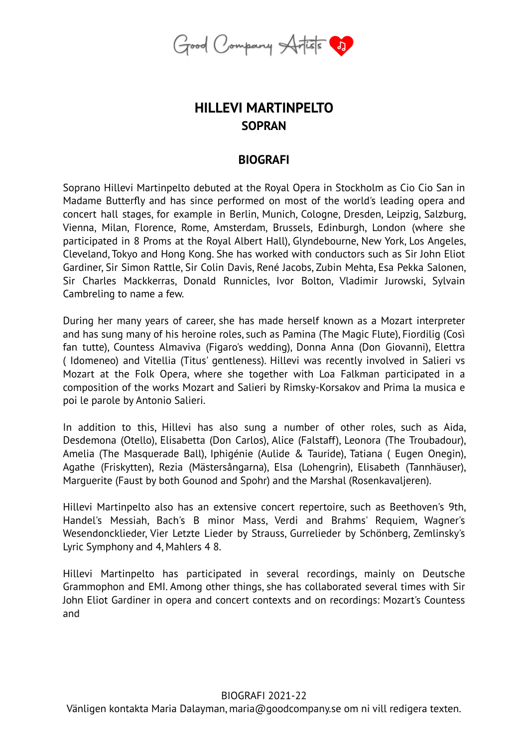

## **HILLEVI MARTINPELTO SOPRAN**

## **BIOGRAFI**

Soprano Hillevi Martinpelto debuted at the Royal Opera in Stockholm as Cio Cio San in Madame Butterfly and has since performed on most of the world's leading opera and concert hall stages, for example in Berlin, Munich, Cologne, Dresden, Leipzig, Salzburg, Vienna, Milan, Florence, Rome, Amsterdam, Brussels, Edinburgh, London (where she participated in 8 Proms at the Royal Albert Hall), Glyndebourne, New York, Los Angeles, Cleveland, Tokyo and Hong Kong. She has worked with conductors such as Sir John Eliot Gardiner, Sir Simon Rattle, Sir Colin Davis, René Jacobs, Zubin Mehta, Esa Pekka Salonen, Sir Charles Mackkerras, Donald Runnicles, Ivor Bolton, Vladimir Jurowski, Sylvain Cambreling to name a few.

During her many years of career, she has made herself known as a Mozart interpreter and has sung many of his heroine roles, such as Pamina (The Magic Flute), Fiordilig (Così fan tutte), Countess Almaviva (Figaro's wedding), Donna Anna (Don Giovanni), Elettra ( Idomeneo) and Vitellia (Titus' gentleness). Hillevi was recently involved in Salieri vs Mozart at the Folk Opera, where she together with Loa Falkman participated in a composition of the works Mozart and Salieri by Rimsky-Korsakov and Prima la musica e poi le parole by Antonio Salieri.

In addition to this, Hillevi has also sung a number of other roles, such as Aida, Desdemona (Otello), Elisabetta (Don Carlos), Alice (Falstaff), Leonora (The Troubadour), Amelia (The Masquerade Ball), Iphigénie (Aulide & Tauride), Tatiana ( Eugen Onegin), Agathe (Friskytten), Rezia (Mästersångarna), Elsa (Lohengrin), Elisabeth (Tannhäuser), Marguerite (Faust by both Gounod and Spohr) and the Marshal (Rosenkavaljeren).

Hillevi Martinpelto also has an extensive concert repertoire, such as Beethoven's 9th, Handel's Messiah, Bach's B minor Mass, Verdi and Brahms' Requiem, Wagner's Wesendoncklieder, Vier Letzte Lieder by Strauss, Gurrelieder by Schönberg, Zemlinsky's Lyric Symphony and 4, Mahlers 4 8.

Hillevi Martinpelto has participated in several recordings, mainly on Deutsche Grammophon and EMI. Among other things, she has collaborated several times with Sir John Eliot Gardiner in opera and concert contexts and on recordings: Mozart's Countess and